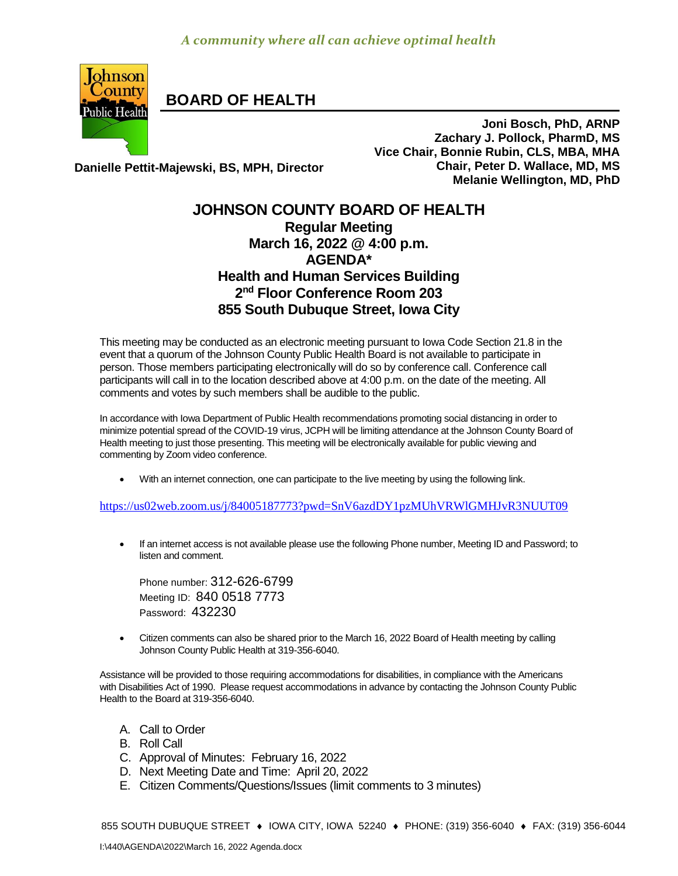

**BOARD OF HEALTH**

**Danielle Pettit-Majewski, BS, MPH, Director**

**Joni Bosch, PhD, ARNP Zachary J. Pollock, PharmD, MS Vice Chair, Bonnie Rubin, CLS, MBA, MHA Chair, Peter D. Wallace, MD, MS Melanie Wellington, MD, PhD**

## **JOHNSON COUNTY BOARD OF HEALTH Regular Meeting March 16, 2022 @ 4:00 p.m. AGENDA\* Health and Human Services Building 2 nd Floor Conference Room 203 855 South Dubuque Street, Iowa City**

This meeting may be conducted as an electronic meeting pursuant to Iowa Code Section 21.8 in the event that a quorum of the Johnson County Public Health Board is not available to participate in person. Those members participating electronically will do so by conference call. Conference call participants will call in to the location described above at 4:00 p.m. on the date of the meeting. All comments and votes by such members shall be audible to the public.

In accordance with Iowa Department of Public Health recommendations promoting social distancing in order to minimize potential spread of the COVID-19 virus, JCPH will be limiting attendance at the Johnson County Board of Health meeting to just those presenting. This meeting will be electronically available for public viewing and commenting by Zoom video conference.

With an internet connection, one can participate to the live meeting by using the following link.

<https://us02web.zoom.us/j/84005187773?pwd=SnV6azdDY1pzMUhVRWlGMHJvR3NUUT09>

• If an internet access is not available please use the following Phone number, Meeting ID and Password; to listen and comment.

Phone number: 312-626-6799 Meeting ID: 840 0518 7773 Password: 432230

 [Citizen](http://citizen/) comments can also be shared prior to the March 16, 2022 Board of Health meeting by calling Johnson County Public Health at 319-356-6040.

Assistance will be provided to those requiring accommodations for disabilities, in compliance with the Americans with Disabilities Act of 1990. Please request accommodations in advance by contacting the Johnson County Public Health to the Board at 319-356-6040.

- A. Call to Order
- B. Roll Call
- C. Approval of Minutes: February 16, 2022
- D. Next Meeting Date and Time: April 20, 2022
- E. Citizen Comments/Questions/Issues (limit comments to 3 minutes)

855 SOUTH DUBUQUE STREET ♦ IOWA CITY, IOWA 52240 ♦ PHONE: (319) 356-6040 ♦ FAX: (319) 356-6044